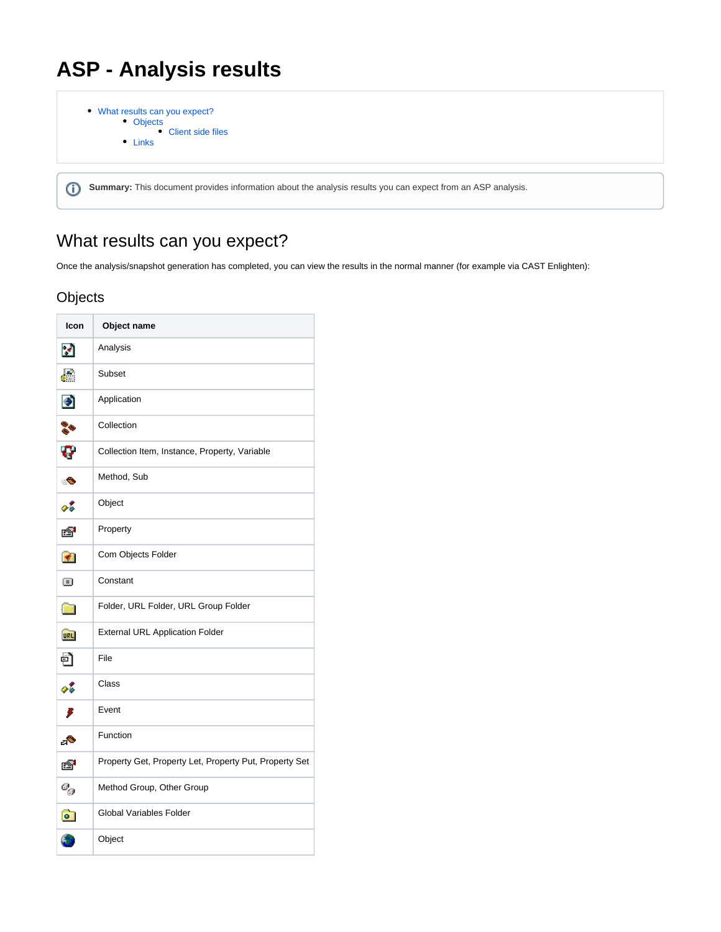# **ASP - Analysis results**

```
What results can you expect?
   Objects
            Client side files
Links
```
**Summary:** This document provides information about the analysis results you can expect from an ASP analysis.

# <span id="page-0-0"></span>What results can you expect?

Once the analysis/snapshot generation has completed, you can view the results in the normal manner (for example via CAST Enlighten):

## <span id="page-0-1"></span>**Objects**

| Icon               | Object name                                            |
|--------------------|--------------------------------------------------------|
| м                  | Analysis                                               |
| Æ                  | Subset                                                 |
| ⊛                  | Application                                            |
| ❣                  | Collection                                             |
| v                  | Collection Item, Instance, Property, Variable          |
| ÷Ò                 | Method, Sub                                            |
| оb                 | Object                                                 |
| ß                  | Property                                               |
| ₩.                 | Com Objects Folder                                     |
| ⊞                  | Constant                                               |
| <b>All Control</b> | Folder, URL Folder, URL Group Folder                   |
| <b>URL</b>         | <b>External URL Application Folder</b>                 |
| Ð                  | File                                                   |
| о\$                | Class                                                  |
| s                  | Event                                                  |
| aÑ.                | Function                                               |
| ß                  | Property Get, Property Let, Property Put, Property Set |
| $\theta_{\rm g}$   | Method Group, Other Group                              |
| $\bullet$          | <b>Global Variables Folder</b>                         |
|                    | Object                                                 |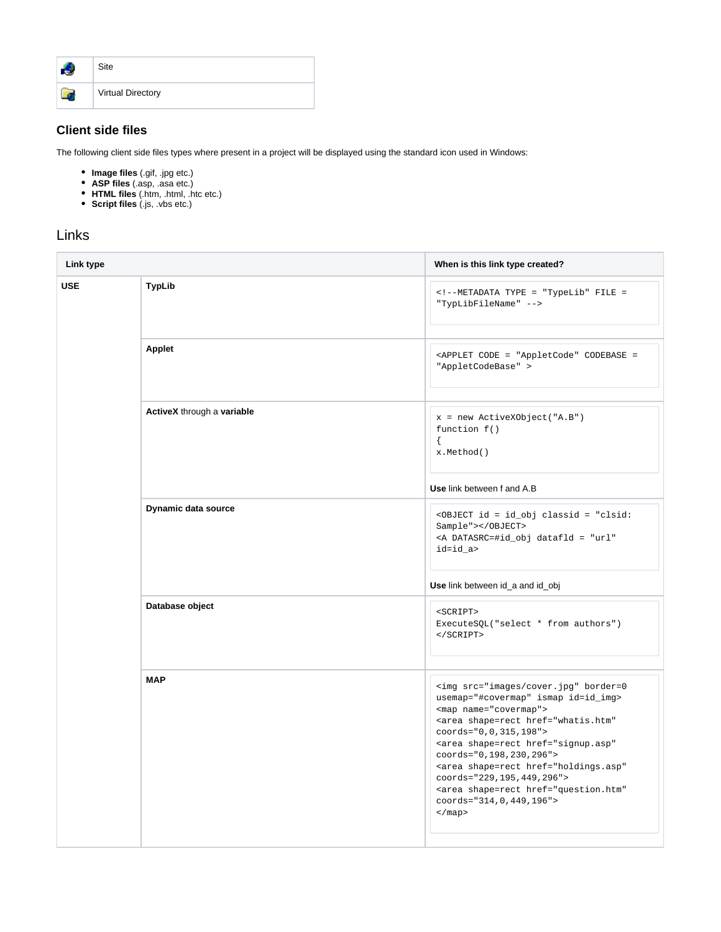

#### <span id="page-1-0"></span>**Client side files**

The following client side files types where present in a project will be displayed using the standard icon used in Windows:

- **Image files** (.gif, .jpg etc.)
- **ASP files** (.asp, .asa etc.)
- **HTML files** (.htm, .html, .htc etc.)
- **Script files** (.js, .vbs etc.)

### <span id="page-1-1"></span>Links

| Link type  |                            | When is this link type created?                                                                                                                                                                                                                                                                                                                                                                                                                                              |
|------------|----------------------------|------------------------------------------------------------------------------------------------------------------------------------------------------------------------------------------------------------------------------------------------------------------------------------------------------------------------------------------------------------------------------------------------------------------------------------------------------------------------------|
| <b>USE</b> | <b>TypLib</b>              | METADATA TYPE = "TypeLib" FILE =<br>"TypLibFileName"                                                                                                                                                                                                                                                                                                                                                                                                                         |
|            | <b>Applet</b>              | <applet code="AppletCode" codebase="&lt;br">"AppletCodeBase" &gt;</applet>                                                                                                                                                                                                                                                                                                                                                                                                   |
|            | ActiveX through a variable | $x = new ActiveXObject("A.B")$<br>function $f()$<br>$\{$<br>x.Method()                                                                                                                                                                                                                                                                                                                                                                                                       |
|            |                            | Use link between f and A.B                                                                                                                                                                                                                                                                                                                                                                                                                                                   |
|            | Dynamic data source        | <object classid="clsid:&lt;br&gt;Sample" id="id_obj"></object><br><a <br="" datafld="url" datasrc="#id_obj">id=id_a&gt;</a>                                                                                                                                                                                                                                                                                                                                                  |
|            |                            | Use link between id_a and id_obj                                                                                                                                                                                                                                                                                                                                                                                                                                             |
|            | Database object            | $<$ SCRIPT $>$<br>ExecuteSQL("select * from authors")<br>$<$ /SCRIPT>                                                                                                                                                                                                                                                                                                                                                                                                        |
|            | <b>MAP</b>                 | <img border="0&lt;br" src="images/cover.jpg"/> usemap="#covermap" ismap id=id_img><br><map name="covermap"><br/><area <br="" href="whatis.htm" shape="rect"/>coords="0,0,315,198"&gt;<br/><area <br="" href="signup.asp" shape="rect"/>coords="0,198,230,296"&gt;<br/><area <br="" href="holdings.asp" shape="rect"/>coords="229, 195, 449, 296"&gt;<br/><area <br="" href="question.htm" shape="rect"/>coords="314, 0, 449, 196"&gt;<br/><math>\langle</math> map&gt;</map> |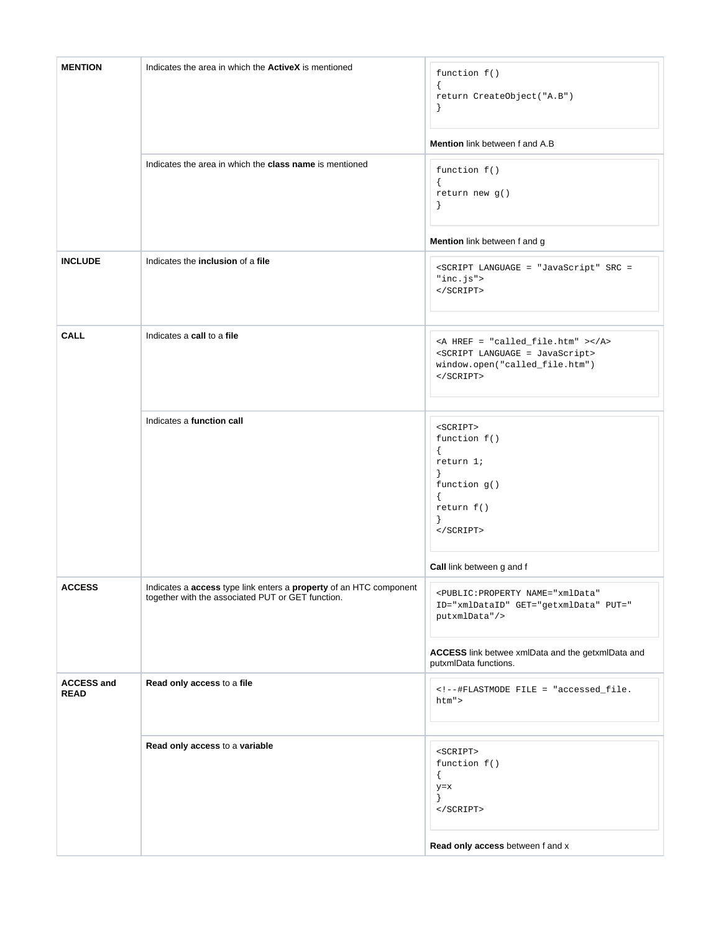| <b>MENTION</b> | Indicates the area in which the <b>ActiveX</b> is mentioned    | function f()<br>€<br>return CreateObject("A.B")<br>ł<br>Mention link between f and A.B |
|----------------|----------------------------------------------------------------|----------------------------------------------------------------------------------------|
|                | Indicates the area in which the <b>class name</b> is mentioned | function f()<br>€<br>return new $g()$<br><sup>}</sup><br>Mention link between f and g  |
| <b>INCLUDE</b> | Indicates the inclusion of a file                              | <script language="JavaScript" src="&lt;br"></script>                                   |